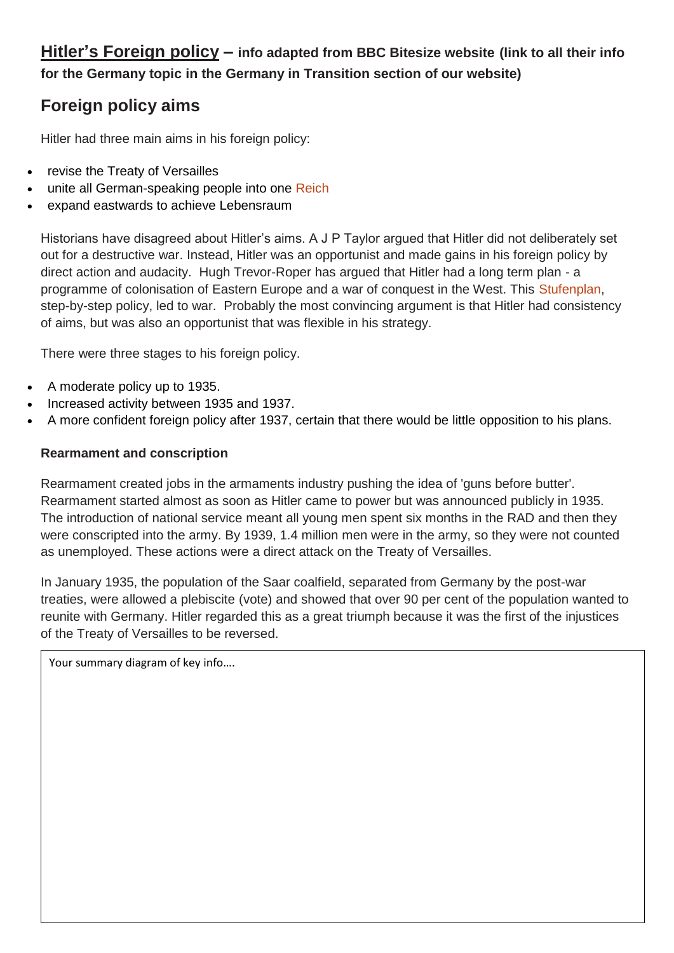**Hitler's Foreign policy – info adapted from BBC Bitesize website (link to all their info for the Germany topic in the Germany in Transition section of our website)**

# **Foreign policy aims**

Hitler had three main aims in his foreign policy:

- revise the Treaty of Versailles
- unite all German-speaking people into one Reich
- expand eastwards to achieve Lebensraum

Historians have disagreed about Hitler's aims. A J P Taylor argued that Hitler did not deliberately set out for a destructive war. Instead, Hitler was an opportunist and made gains in his foreign policy by direct action and audacity. Hugh Trevor-Roper has argued that Hitler had a long term plan - a programme of colonisation of Eastern Europe and a war of conquest in the West. This Stufenplan, step-by-step policy, led to war. Probably the most convincing argument is that Hitler had consistency of aims, but was also an opportunist that was flexible in his strategy.

There were three stages to his foreign policy.

- A moderate policy up to 1935.
- Increased activity between 1935 and 1937.
- A more confident foreign policy after 1937, certain that there would be little opposition to his plans.

#### **Rearmament and conscription**

Rearmament created jobs in the armaments industry pushing the idea of 'guns before butter'. Rearmament started almost as soon as Hitler came to power but was announced publicly in 1935. The introduction of national service meant all young men spent six months in the RAD and then they were conscripted into the army. By 1939, 1.4 million men were in the army, so they were not counted as unemployed. These actions were a direct attack on the Treaty of Versailles.

In January 1935, the population of the Saar coalfield, separated from Germany by the post-war treaties, were allowed a plebiscite (vote) and showed that over 90 per cent of the population wanted to reunite with Germany. Hitler regarded this as a great triumph because it was the first of the injustices of the Treaty of Versailles to be reversed.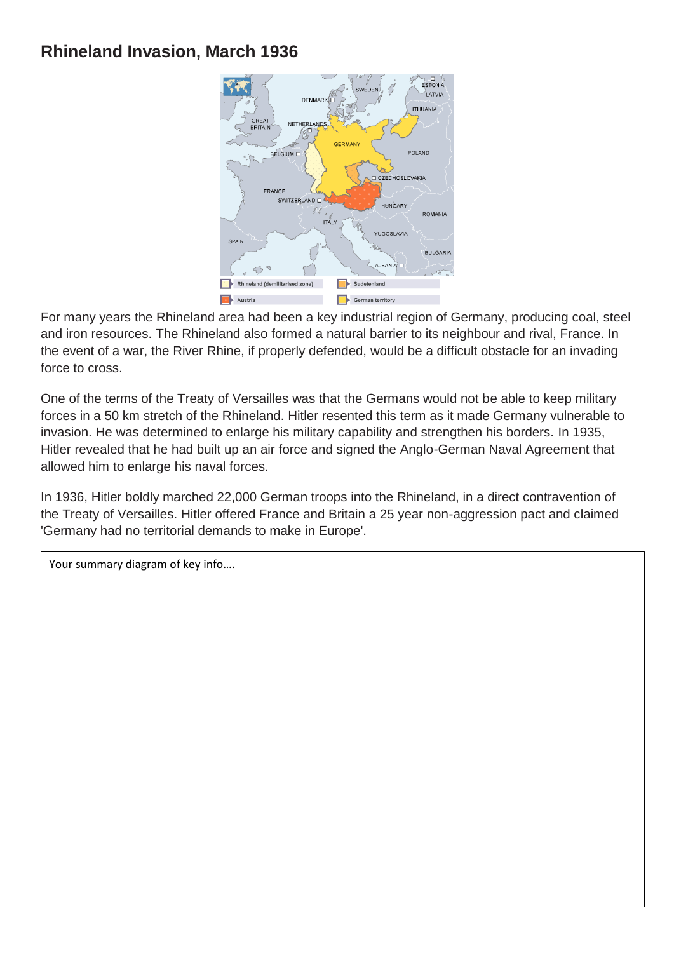## **Rhineland Invasion, March 1936**



For many years the Rhineland area had been a key industrial region of Germany, producing coal, steel and iron resources. The Rhineland also formed a natural barrier to its neighbour and rival, France. In the event of a war, the River Rhine, if properly defended, would be a difficult obstacle for an invading force to cross.

One of the terms of the Treaty of Versailles was that the Germans would not be able to keep military forces in a 50 km stretch of the Rhineland. Hitler resented this term as it made Germany vulnerable to invasion. He was determined to enlarge his military capability and strengthen his borders. In 1935, Hitler revealed that he had built up an air force and signed the Anglo-German Naval Agreement that allowed him to enlarge his naval forces.

In 1936, Hitler boldly marched 22,000 German troops into the Rhineland, in a direct contravention of the Treaty of Versailles. Hitler offered France and Britain a 25 year non-aggression pact and claimed 'Germany had no territorial demands to make in Europe'.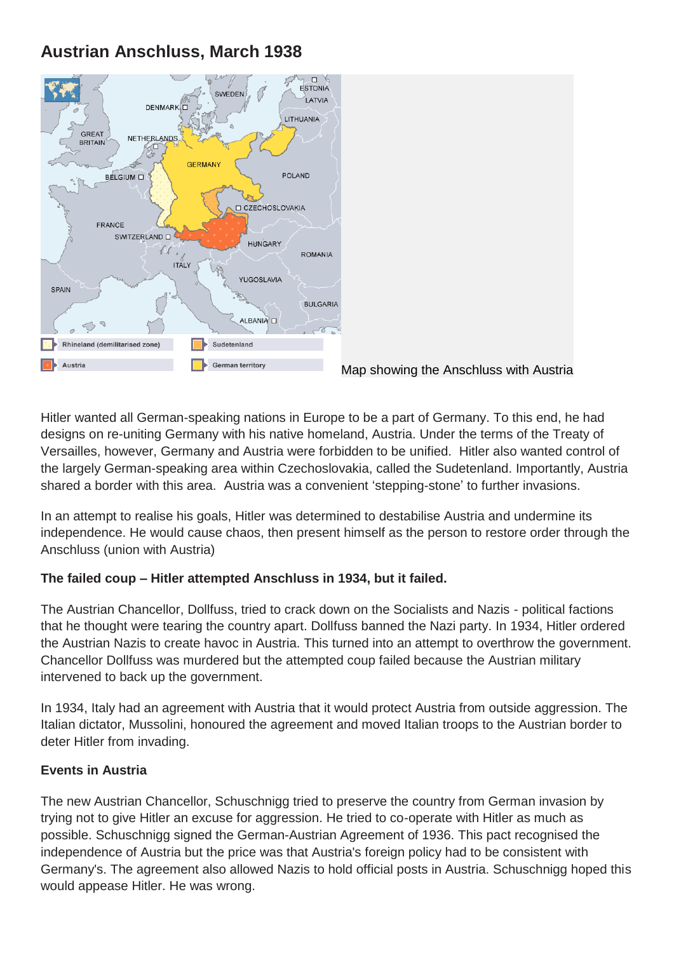# **Austrian Anschluss, March 1938**



Map showing the Anschluss with Austria

Hitler wanted all German-speaking nations in Europe to be a part of Germany. To this end, he had designs on re-uniting Germany with his native homeland, Austria. Under the terms of the Treaty of Versailles, however, Germany and Austria were forbidden to be unified. Hitler also wanted control of the largely German-speaking area within Czechoslovakia, called the Sudetenland. Importantly, Austria shared a border with this area. Austria was a convenient 'stepping-stone' to further invasions.

In an attempt to realise his goals, Hitler was determined to destabilise Austria and undermine its independence. He would cause chaos, then present himself as the person to restore order through the Anschluss (union with Austria)

## **The failed coup – Hitler attempted Anschluss in 1934, but it failed.**

The Austrian Chancellor, Dollfuss, tried to crack down on the Socialists and Nazis - political factions that he thought were tearing the country apart. Dollfuss banned the Nazi party. In 1934, Hitler ordered the Austrian Nazis to create havoc in Austria. This turned into an attempt to overthrow the government. Chancellor Dollfuss was murdered but the attempted coup failed because the Austrian military intervened to back up the government.

In 1934, Italy had an agreement with Austria that it would protect Austria from outside aggression. The Italian dictator, Mussolini, honoured the agreement and moved Italian troops to the Austrian border to deter Hitler from invading.

## **Events in Austria**

The new Austrian Chancellor, Schuschnigg tried to preserve the country from German invasion by trying not to give Hitler an excuse for aggression. He tried to co-operate with Hitler as much as possible. Schuschnigg signed the German-Austrian Agreement of 1936. This pact recognised the independence of Austria but the price was that Austria's foreign policy had to be consistent with Germany's. The agreement also allowed Nazis to hold official posts in Austria. Schuschnigg hoped this would appease Hitler. He was wrong.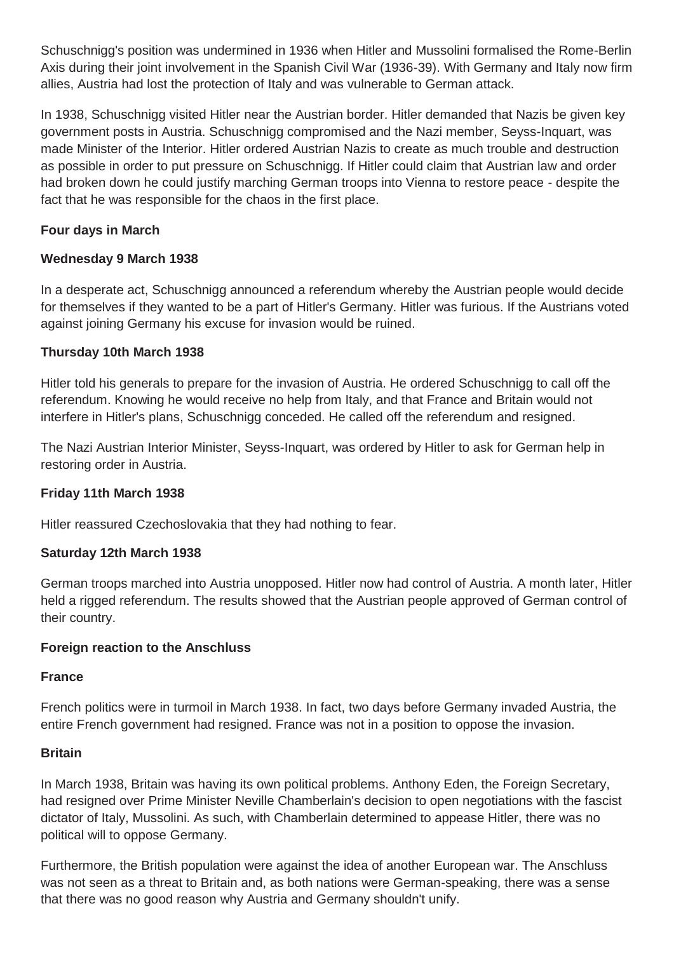Schuschnigg's position was undermined in 1936 when Hitler and Mussolini formalised the Rome-Berlin Axis during their joint involvement in the Spanish Civil War (1936-39). With Germany and Italy now firm allies, Austria had lost the protection of Italy and was vulnerable to German attack.

In 1938, Schuschnigg visited Hitler near the Austrian border. Hitler demanded that Nazis be given key government posts in Austria. Schuschnigg compromised and the Nazi member, Seyss-Inquart, was made Minister of the Interior. Hitler ordered Austrian Nazis to create as much trouble and destruction as possible in order to put pressure on Schuschnigg. If Hitler could claim that Austrian law and order had broken down he could justify marching German troops into Vienna to restore peace - despite the fact that he was responsible for the chaos in the first place.

## **Four days in March**

### **Wednesday 9 March 1938**

In a desperate act, Schuschnigg announced a referendum whereby the Austrian people would decide for themselves if they wanted to be a part of Hitler's Germany. Hitler was furious. If the Austrians voted against joining Germany his excuse for invasion would be ruined.

### **Thursday 10th March 1938**

Hitler told his generals to prepare for the invasion of Austria. He ordered Schuschnigg to call off the referendum. Knowing he would receive no help from Italy, and that France and Britain would not interfere in Hitler's plans, Schuschnigg conceded. He called off the referendum and resigned.

The Nazi Austrian Interior Minister, Seyss-Inquart, was ordered by Hitler to ask for German help in restoring order in Austria.

#### **Friday 11th March 1938**

Hitler reassured Czechoslovakia that they had nothing to fear.

#### **Saturday 12th March 1938**

German troops marched into Austria unopposed. Hitler now had control of Austria. A month later, Hitler held a rigged referendum. The results showed that the Austrian people approved of German control of their country.

#### **Foreign reaction to the Anschluss**

#### **France**

French politics were in turmoil in March 1938. In fact, two days before Germany invaded Austria, the entire French government had resigned. France was not in a position to oppose the invasion.

#### **Britain**

In March 1938, Britain was having its own political problems. Anthony Eden, the Foreign Secretary, had resigned over Prime Minister Neville Chamberlain's decision to open negotiations with the fascist dictator of Italy, Mussolini. As such, with Chamberlain determined to appease Hitler, there was no political will to oppose Germany.

Furthermore, the British population were against the idea of another European war. The Anschluss was not seen as a threat to Britain and, as both nations were German-speaking, there was a sense that there was no good reason why Austria and Germany shouldn't unify.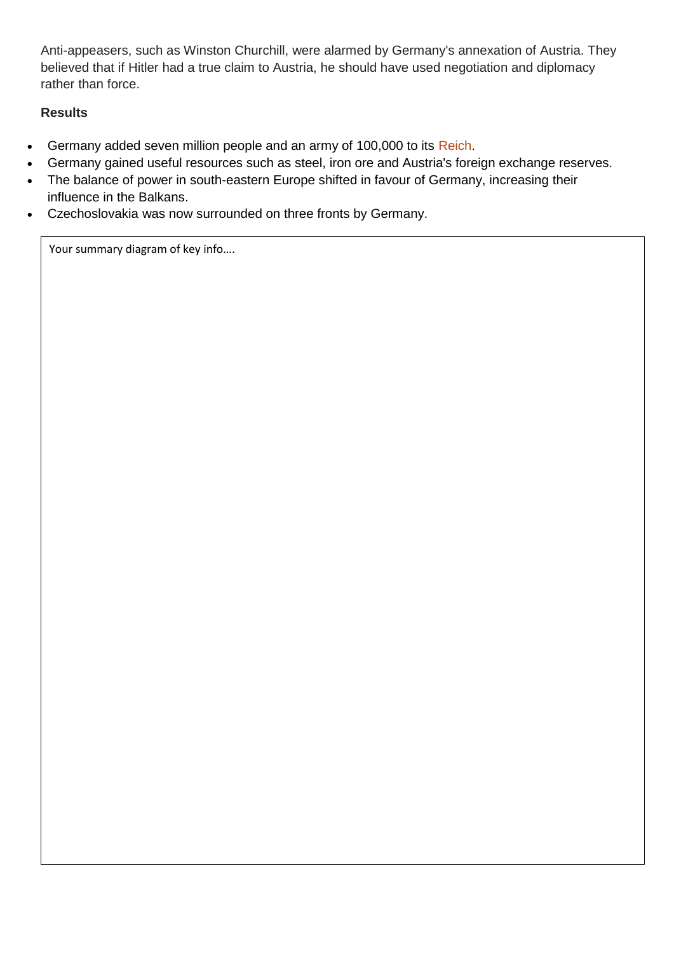Anti-appeasers, such as Winston Churchill, were alarmed by Germany's annexation of Austria. They believed that if Hitler had a true claim to Austria, he should have used negotiation and diplomacy rather than force.

## **Results**

- Germany added seven million people and an army of 100,000 to its Reich.
- Germany gained useful resources such as steel, iron ore and Austria's foreign exchange reserves.
- The balance of power in south-eastern Europe shifted in favour of Germany, increasing their influence in the Balkans.
- Czechoslovakia was now surrounded on three fronts by Germany.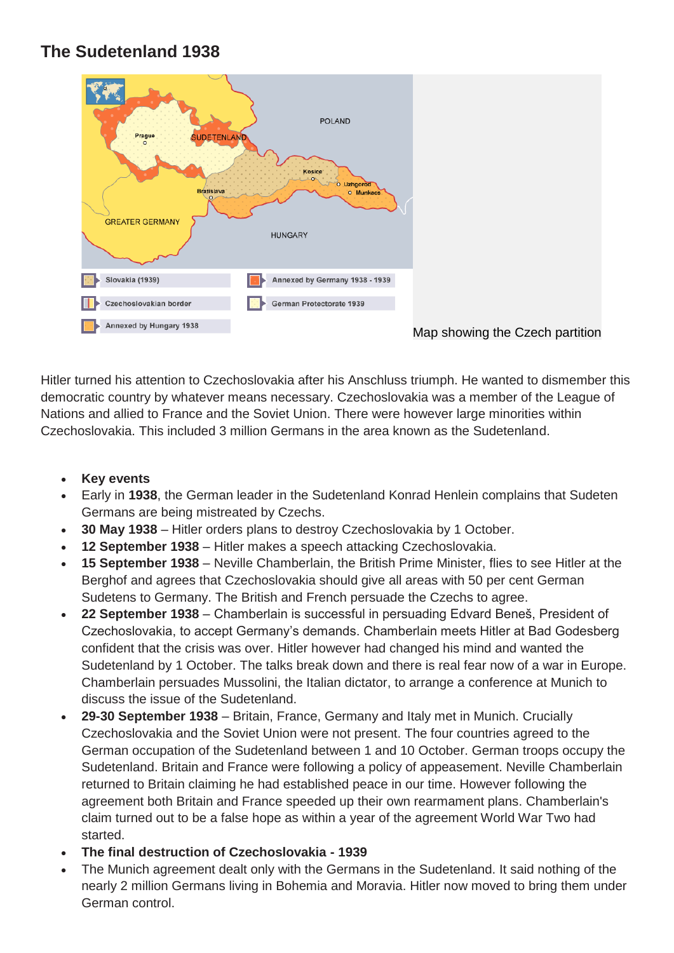## **The Sudetenland 1938**



Hitler turned his attention to Czechoslovakia after his Anschluss triumph. He wanted to dismember this democratic country by whatever means necessary. Czechoslovakia was a member of the League of Nations and allied to France and the Soviet Union. There were however large minorities within Czechoslovakia. This included 3 million Germans in the area known as the Sudetenland.

- **Key events**
- Early in **1938**, the German leader in the Sudetenland Konrad Henlein complains that Sudeten Germans are being mistreated by Czechs.
- **30 May 1938** Hitler orders plans to destroy Czechoslovakia by 1 October.
- **12 September 1938** Hitler makes a speech attacking Czechoslovakia.
- **15 September 1938** Neville Chamberlain, the British Prime Minister, flies to see Hitler at the Berghof and agrees that Czechoslovakia should give all areas with 50 per cent German Sudetens to Germany. The British and French persuade the Czechs to agree.
- **22 September 1938** Chamberlain is successful in persuading Edvard Beneš, President of Czechoslovakia, to accept Germany's demands. Chamberlain meets Hitler at Bad Godesberg confident that the crisis was over. Hitler however had changed his mind and wanted the Sudetenland by 1 October. The talks break down and there is real fear now of a war in Europe. Chamberlain persuades Mussolini, the Italian dictator, to arrange a conference at Munich to discuss the issue of the Sudetenland.
- **29-30 September 1938** Britain, France, Germany and Italy met in Munich. Crucially Czechoslovakia and the Soviet Union were not present. The four countries agreed to the German occupation of the Sudetenland between 1 and 10 October. German troops occupy the Sudetenland. Britain and France were following a policy of appeasement. Neville Chamberlain returned to Britain claiming he had established peace in our time. However following the agreement both Britain and France speeded up their own rearmament plans. Chamberlain's claim turned out to be a false hope as within a year of the agreement World War Two had started.
- **The final destruction of Czechoslovakia - 1939**
- The Munich agreement dealt only with the Germans in the Sudetenland. It said nothing of the nearly 2 million Germans living in Bohemia and Moravia. Hitler now moved to bring them under German control.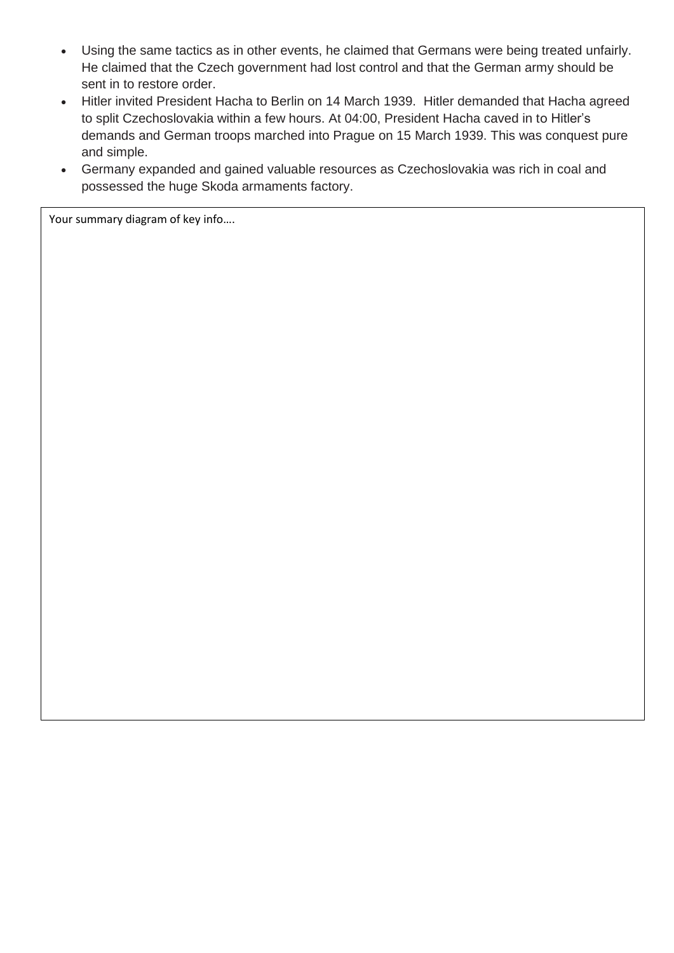- Using the same tactics as in other events, he claimed that Germans were being treated unfairly. He claimed that the Czech government had lost control and that the German army should be sent in to restore order.
- Hitler invited President Hacha to Berlin on 14 March 1939. Hitler demanded that Hacha agreed to split Czechoslovakia within a few hours. At 04:00, President Hacha caved in to Hitler's demands and German troops marched into Prague on 15 March 1939. This was conquest pure and simple.
- Germany expanded and gained valuable resources as Czechoslovakia was rich in coal and possessed the huge Skoda armaments factory.